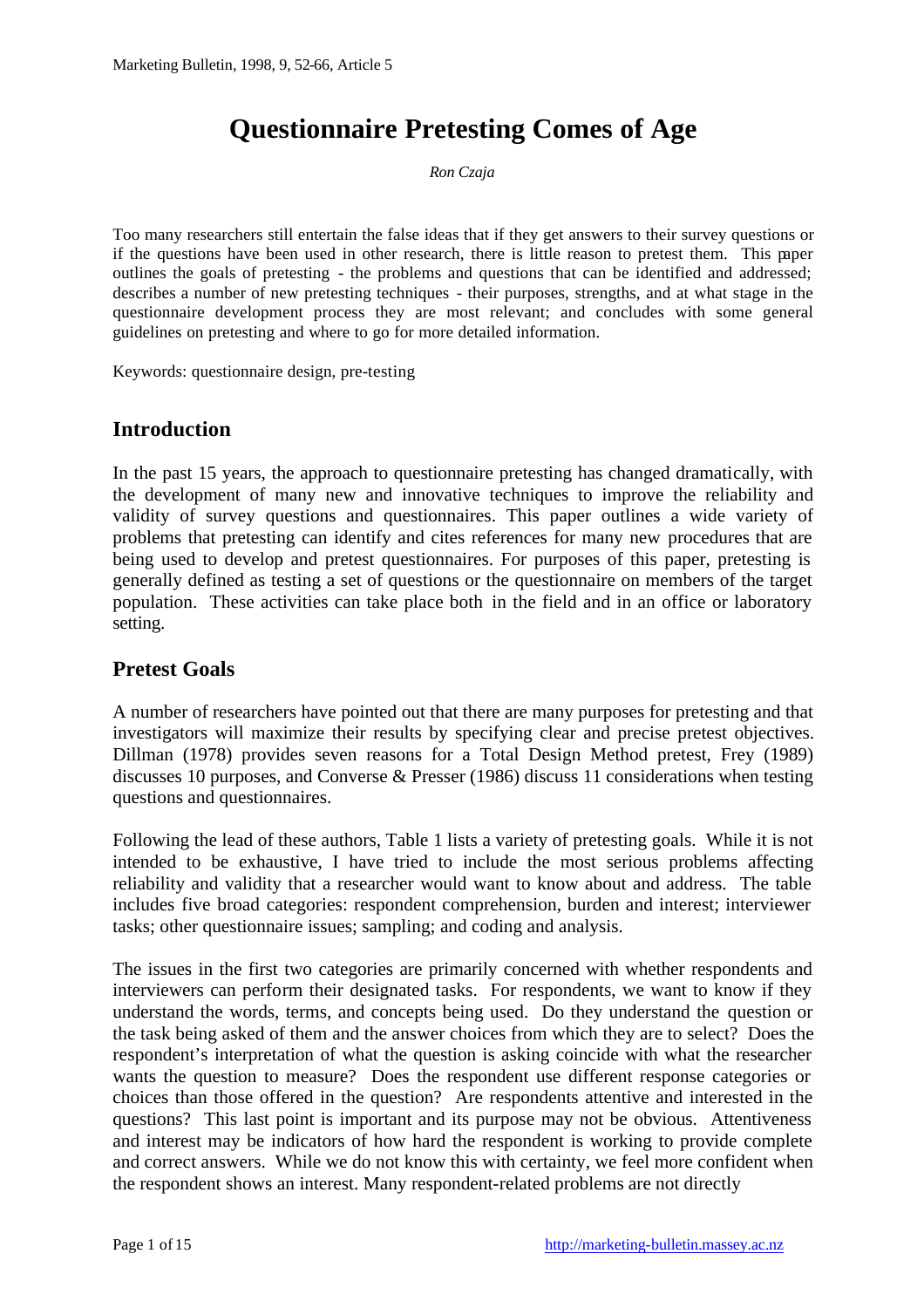# **Questionnaire Pretesting Comes of Age**

*Ron Czaja*

Too many researchers still entertain the false ideas that if they get answers to their survey questions or if the questions have been used in other research, there is little reason to pretest them. This paper outlines the goals of pretesting - the problems and questions that can be identified and addressed; describes a number of new pretesting techniques - their purposes, strengths, and at what stage in the questionnaire development process they are most relevant; and concludes with some general guidelines on pretesting and where to go for more detailed information.

Keywords: questionnaire design, pre-testing

# **Introduction**

In the past 15 years, the approach to questionnaire pretesting has changed dramatically, with the development of many new and innovative techniques to improve the reliability and validity of survey questions and questionnaires. This paper outlines a wide variety of problems that pretesting can identify and cites references for many new procedures that are being used to develop and pretest questionnaires. For purposes of this paper, pretesting is generally defined as testing a set of questions or the questionnaire on members of the target population. These activities can take place both in the field and in an office or laboratory setting.

### **Pretest Goals**

A number of researchers have pointed out that there are many purposes for pretesting and that investigators will maximize their results by specifying clear and precise pretest objectives. Dillman (1978) provides seven reasons for a Total Design Method pretest, Frey (1989) discusses 10 purposes, and Converse & Presser (1986) discuss 11 considerations when testing questions and questionnaires.

Following the lead of these authors, Table 1 lists a variety of pretesting goals. While it is not intended to be exhaustive, I have tried to include the most serious problems affecting reliability and validity that a researcher would want to know about and address. The table includes five broad categories: respondent comprehension, burden and interest; interviewer tasks; other questionnaire issues; sampling; and coding and analysis.

The issues in the first two categories are primarily concerned with whether respondents and interviewers can perform their designated tasks. For respondents, we want to know if they understand the words, terms, and concepts being used. Do they understand the question or the task being asked of them and the answer choices from which they are to select? Does the respondent's interpretation of what the question is asking coincide with what the researcher wants the question to measure? Does the respondent use different response categories or choices than those offered in the question? Are respondents attentive and interested in the questions? This last point is important and its purpose may not be obvious. Attentiveness and interest may be indicators of how hard the respondent is working to provide complete and correct answers. While we do not know this with certainty, we feel more confident when the respondent shows an interest. Many respondent-related problems are not directly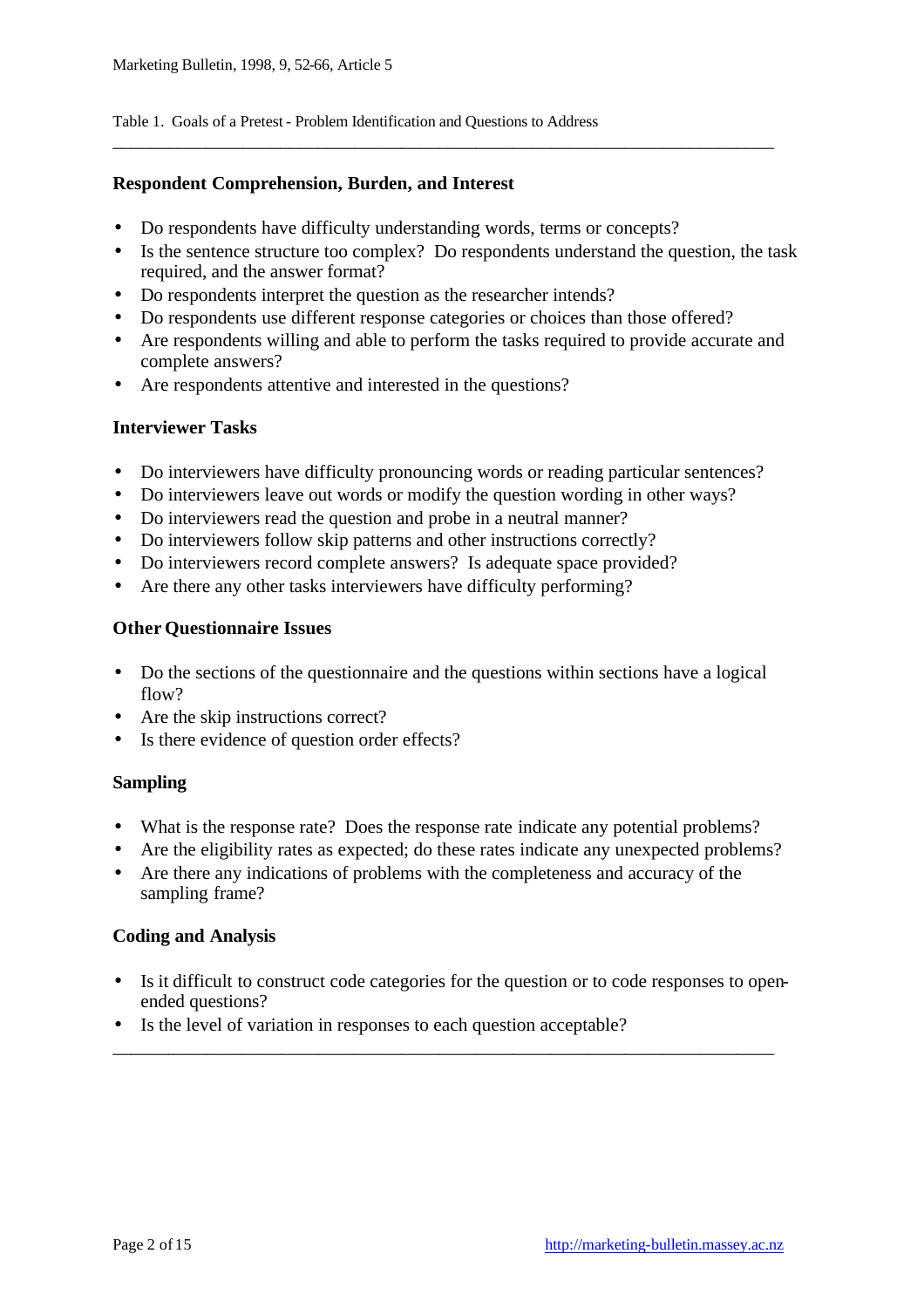Table 1. Goals of a Pretest - Problem Identification and Questions to Address

#### **Respondent Comprehension, Burden, and Interest**

- Do respondents have difficulty understanding words, terms or concepts?
- Is the sentence structure too complex? Do respondents understand the question, the task required, and the answer format?

\_\_\_\_\_\_\_\_\_\_\_\_\_\_\_\_\_\_\_\_\_\_\_\_\_\_\_\_\_\_\_\_\_\_\_\_\_\_\_\_\_\_\_\_\_\_\_\_\_\_\_\_\_\_\_\_\_\_\_\_\_\_\_\_\_\_\_\_\_\_\_

- Do respondents interpret the question as the researcher intends?
- Do respondents use different response categories or choices than those offered?
- Are respondents willing and able to perform the tasks required to provide accurate and complete answers?
- Are respondents attentive and interested in the questions?

### **Interviewer Tasks**

- Do interviewers have difficulty pronouncing words or reading particular sentences?
- Do interviewers leave out words or modify the question wording in other ways?
- Do interviewers read the question and probe in a neutral manner?
- Do interviewers follow skip patterns and other instructions correctly?
- Do interviewers record complete answers? Is adequate space provided?
- Are there any other tasks interviewers have difficulty performing?

#### **Other Questionnaire Issues**

- Do the sections of the questionnaire and the questions within sections have a logical flow?
- Are the skip instructions correct?
- Is there evidence of question order effects?

### **Sampling**

- What is the response rate? Does the response rate indicate any potential problems?
- Are the eligibility rates as expected; do these rates indicate any unexpected problems?
- Are there any indications of problems with the completeness and accuracy of the sampling frame?

#### **Coding and Analysis**

• Is it difficult to construct code categories for the question or to code responses to openended questions?

\_\_\_\_\_\_\_\_\_\_\_\_\_\_\_\_\_\_\_\_\_\_\_\_\_\_\_\_\_\_\_\_\_\_\_\_\_\_\_\_\_\_\_\_\_\_\_\_\_\_\_\_\_\_\_\_\_\_\_\_\_\_\_\_\_\_\_\_\_\_\_

• Is the level of variation in responses to each question acceptable?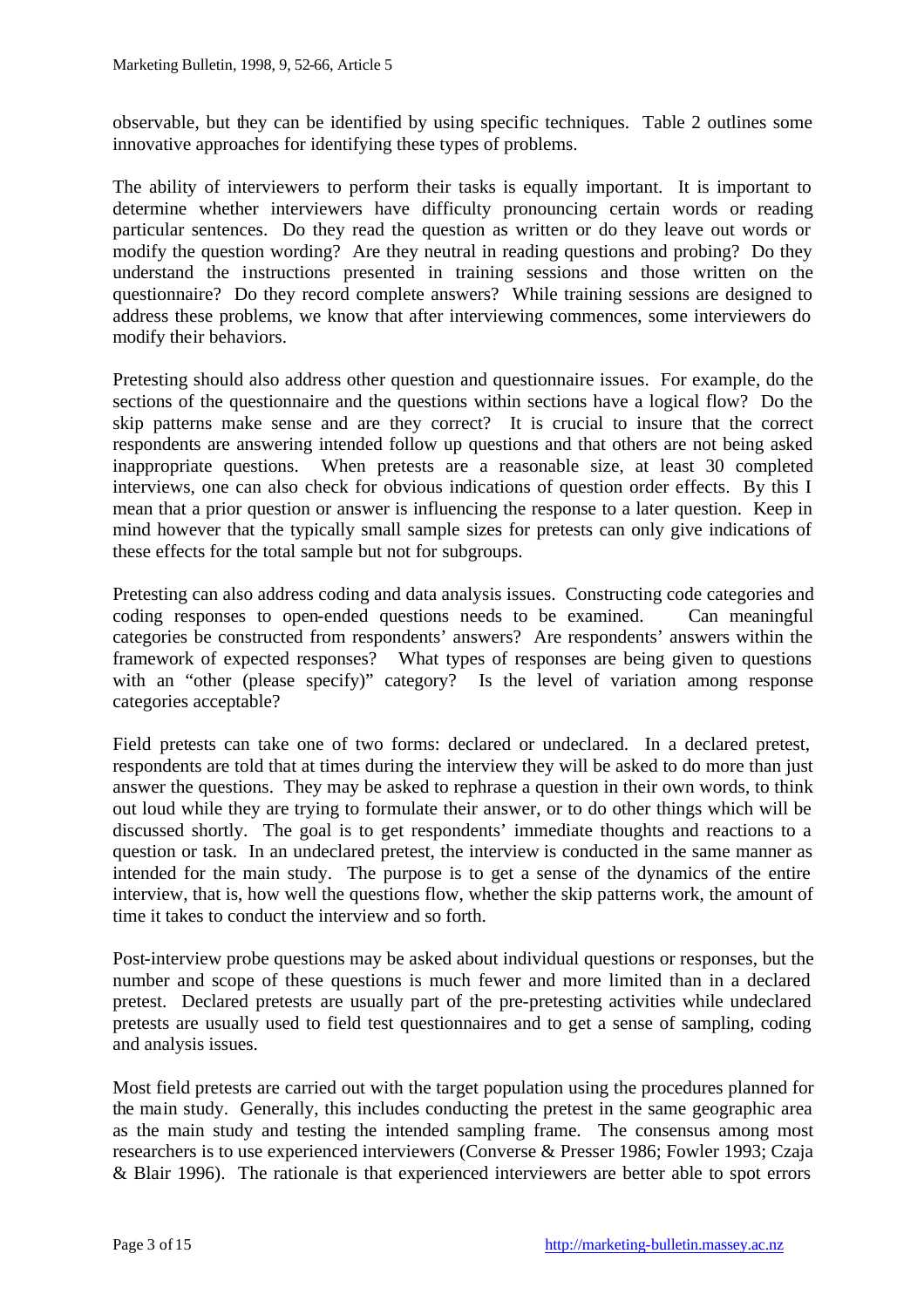observable, but they can be identified by using specific techniques. Table 2 outlines some innovative approaches for identifying these types of problems.

The ability of interviewers to perform their tasks is equally important. It is important to determine whether interviewers have difficulty pronouncing certain words or reading particular sentences. Do they read the question as written or do they leave out words or modify the question wording? Are they neutral in reading questions and probing? Do they understand the instructions presented in training sessions and those written on the questionnaire? Do they record complete answers? While training sessions are designed to address these problems, we know that after interviewing commences, some interviewers do modify their behaviors.

Pretesting should also address other question and questionnaire issues. For example, do the sections of the questionnaire and the questions within sections have a logical flow? Do the skip patterns make sense and are they correct? It is crucial to insure that the correct respondents are answering intended follow up questions and that others are not being asked inappropriate questions. When pretests are a reasonable size, at least 30 completed interviews, one can also check for obvious indications of question order effects. By this I mean that a prior question or answer is influencing the response to a later question. Keep in mind however that the typically small sample sizes for pretests can only give indications of these effects for the total sample but not for subgroups.

Pretesting can also address coding and data analysis issues. Constructing code categories and coding responses to open-ended questions needs to be examined. Can meaningful categories be constructed from respondents' answers? Are respondents' answers within the framework of expected responses? What types of responses are being given to questions with an "other (please specify)" category? Is the level of variation among response categories acceptable?

Field pretests can take one of two forms: declared or undeclared. In a declared pretest, respondents are told that at times during the interview they will be asked to do more than just answer the questions. They may be asked to rephrase a question in their own words, to think out loud while they are trying to formulate their answer, or to do other things which will be discussed shortly. The goal is to get respondents' immediate thoughts and reactions to a question or task. In an undeclared pretest, the interview is conducted in the same manner as intended for the main study. The purpose is to get a sense of the dynamics of the entire interview, that is, how well the questions flow, whether the skip patterns work, the amount of time it takes to conduct the interview and so forth.

Post-interview probe questions may be asked about individual questions or responses, but the number and scope of these questions is much fewer and more limited than in a declared pretest. Declared pretests are usually part of the pre-pretesting activities while undeclared pretests are usually used to field test questionnaires and to get a sense of sampling, coding and analysis issues.

Most field pretests are carried out with the target population using the procedures planned for the main study. Generally, this includes conducting the pretest in the same geographic area as the main study and testing the intended sampling frame. The consensus among most researchers is to use experienced interviewers (Converse & Presser 1986; Fowler 1993; Czaja & Blair 1996). The rationale is that experienced interviewers are better able to spot errors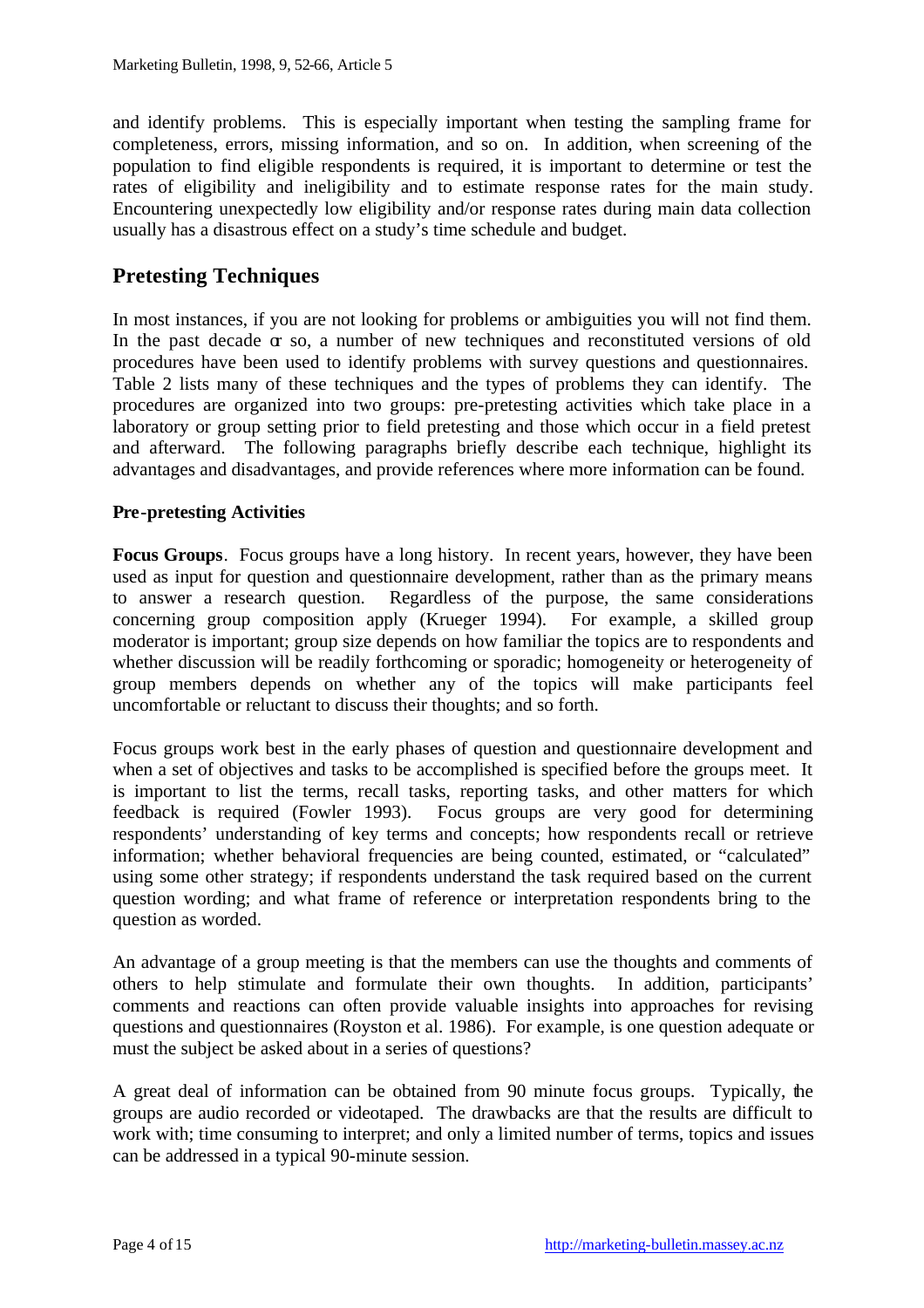and identify problems. This is especially important when testing the sampling frame for completeness, errors, missing information, and so on. In addition, when screening of the population to find eligible respondents is required, it is important to determine or test the rates of eligibility and ineligibility and to estimate response rates for the main study. Encountering unexpectedly low eligibility and/or response rates during main data collection usually has a disastrous effect on a study's time schedule and budget.

# **Pretesting Techniques**

In most instances, if you are not looking for problems or ambiguities you will not find them. In the past decade  $\alpha$  so, a number of new techniques and reconstituted versions of old procedures have been used to identify problems with survey questions and questionnaires. Table 2 lists many of these techniques and the types of problems they can identify. The procedures are organized into two groups: pre-pretesting activities which take place in a laboratory or group setting prior to field pretesting and those which occur in a field pretest and afterward. The following paragraphs briefly describe each technique, highlight its advantages and disadvantages, and provide references where more information can be found.

### **Pre-pretesting Activities**

**Focus Groups**. Focus groups have a long history. In recent years, however, they have been used as input for question and questionnaire development, rather than as the primary means to answer a research question. Regardless of the purpose, the same considerations concerning group composition apply (Krueger 1994). For example, a skilled group moderator is important; group size depends on how familiar the topics are to respondents and whether discussion will be readily forthcoming or sporadic; homogeneity or heterogeneity of group members depends on whether any of the topics will make participants feel uncomfortable or reluctant to discuss their thoughts; and so forth.

Focus groups work best in the early phases of question and questionnaire development and when a set of objectives and tasks to be accomplished is specified before the groups meet. It is important to list the terms, recall tasks, reporting tasks, and other matters for which feedback is required (Fowler 1993). Focus groups are very good for determining respondents' understanding of key terms and concepts; how respondents recall or retrieve information; whether behavioral frequencies are being counted, estimated, or "calculated" using some other strategy; if respondents understand the task required based on the current question wording; and what frame of reference or interpretation respondents bring to the question as worded.

An advantage of a group meeting is that the members can use the thoughts and comments of others to help stimulate and formulate their own thoughts. In addition, participants' comments and reactions can often provide valuable insights into approaches for revising questions and questionnaires (Royston et al. 1986). For example, is one question adequate or must the subject be asked about in a series of questions?

A great deal of information can be obtained from 90 minute focus groups. Typically, the groups are audio recorded or videotaped. The drawbacks are that the results are difficult to work with; time consuming to interpret; and only a limited number of terms, topics and issues can be addressed in a typical 90-minute session.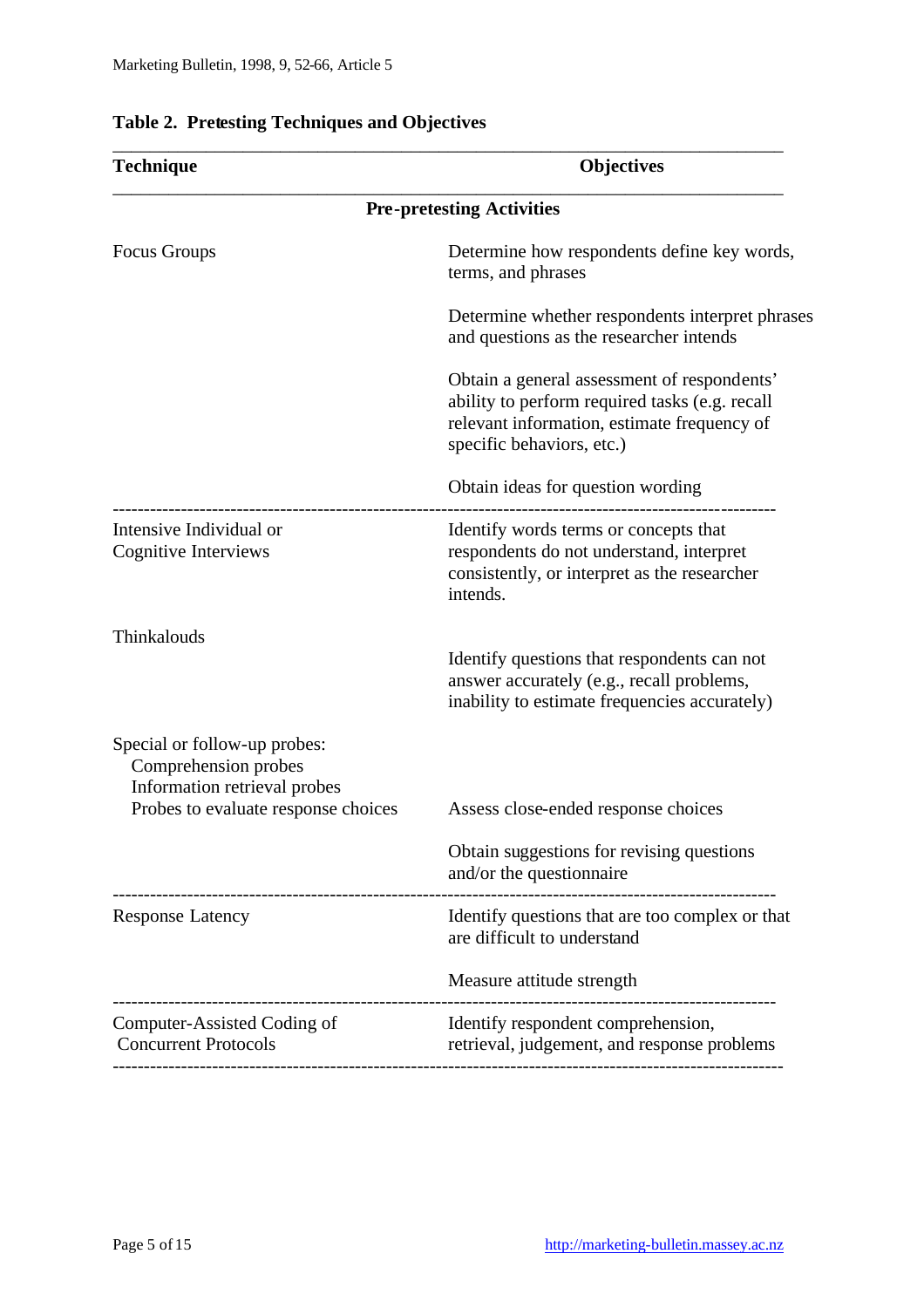| Technique                                                                            | <b>Objectives</b>                                                                                                                                                         |
|--------------------------------------------------------------------------------------|---------------------------------------------------------------------------------------------------------------------------------------------------------------------------|
| <b>Pre-pretesting Activities</b>                                                     |                                                                                                                                                                           |
| <b>Focus Groups</b>                                                                  | Determine how respondents define key words,<br>terms, and phrases                                                                                                         |
|                                                                                      | Determine whether respondents interpret phrases<br>and questions as the researcher intends                                                                                |
|                                                                                      | Obtain a general assessment of respondents'<br>ability to perform required tasks (e.g. recall<br>relevant information, estimate frequency of<br>specific behaviors, etc.) |
|                                                                                      | Obtain ideas for question wording                                                                                                                                         |
| Intensive Individual or<br>Cognitive Interviews                                      | Identify words terms or concepts that<br>respondents do not understand, interpret<br>consistently, or interpret as the researcher<br>intends.                             |
| Thinkalouds                                                                          | Identify questions that respondents can not<br>answer accurately (e.g., recall problems,<br>inability to estimate frequencies accurately)                                 |
| Special or follow-up probes:<br>Comprehension probes<br>Information retrieval probes |                                                                                                                                                                           |
| Probes to evaluate response choices                                                  | Assess close-ended response choices                                                                                                                                       |
|                                                                                      | Obtain suggestions for revising questions<br>and/or the questionnaire                                                                                                     |
| <b>Response Latency</b>                                                              | Identify questions that are too complex or that<br>are difficult to understand                                                                                            |
|                                                                                      | Measure attitude strength                                                                                                                                                 |
| Computer-Assisted Coding of<br><b>Concurrent Protocols</b>                           | Identify respondent comprehension,<br>retrieval, judgement, and response problems                                                                                         |
|                                                                                      |                                                                                                                                                                           |

\_\_\_\_\_\_\_\_\_\_\_\_\_\_\_\_\_\_\_\_\_\_\_\_\_\_\_\_\_\_\_\_\_\_\_\_\_\_\_\_\_\_\_\_\_\_\_\_\_\_\_\_\_\_\_\_\_\_\_\_\_\_\_\_\_\_\_\_\_\_\_\_

## **Table 2. Pretesting Techniques and Objectives**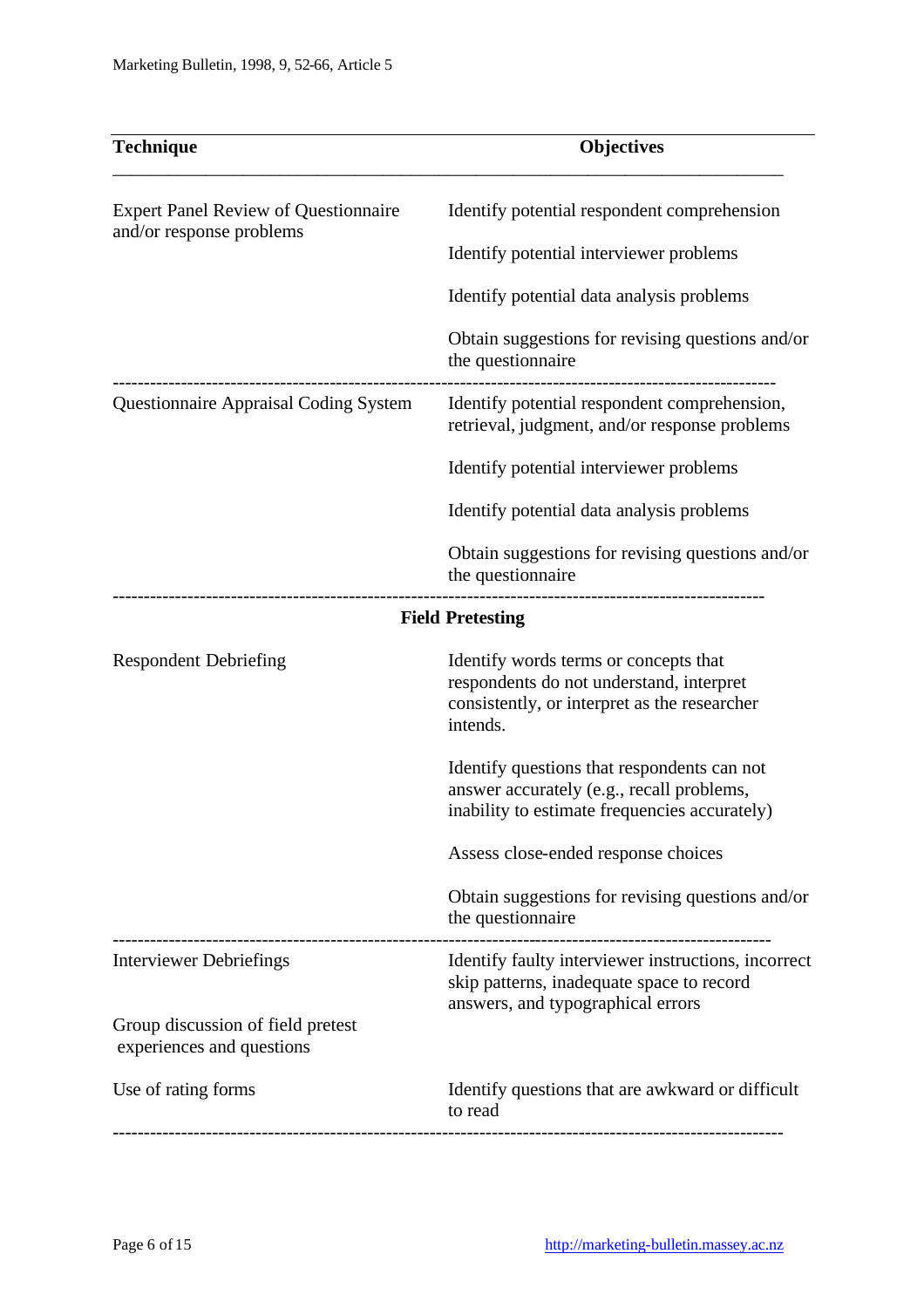| <b>Technique</b>                                                        | <b>Objectives</b>                                                                                                                             |
|-------------------------------------------------------------------------|-----------------------------------------------------------------------------------------------------------------------------------------------|
| <b>Expert Panel Review of Questionnaire</b><br>and/or response problems | Identify potential respondent comprehension                                                                                                   |
|                                                                         | Identify potential interviewer problems                                                                                                       |
|                                                                         | Identify potential data analysis problems                                                                                                     |
|                                                                         | Obtain suggestions for revising questions and/or<br>the questionnaire                                                                         |
| <b>Questionnaire Appraisal Coding System</b>                            | Identify potential respondent comprehension,<br>retrieval, judgment, and/or response problems                                                 |
|                                                                         | Identify potential interviewer problems                                                                                                       |
|                                                                         | Identify potential data analysis problems                                                                                                     |
|                                                                         | Obtain suggestions for revising questions and/or<br>the questionnaire                                                                         |
|                                                                         | <b>Field Pretesting</b>                                                                                                                       |
| <b>Respondent Debriefing</b>                                            | Identify words terms or concepts that<br>respondents do not understand, interpret<br>consistently, or interpret as the researcher<br>intends. |
|                                                                         | Identify questions that respondents can not<br>answer accurately (e.g., recall problems,<br>inability to estimate frequencies accurately)     |
|                                                                         | Assess close-ended response choices                                                                                                           |
|                                                                         | Obtain suggestions for revising questions and/or<br>the questionnaire                                                                         |
| <b>Interviewer Debriefings</b>                                          | Identify faulty interviewer instructions, incorrect<br>skip patterns, inadequate space to record<br>answers, and typographical errors         |
| Group discussion of field pretest<br>experiences and questions          |                                                                                                                                               |
| Use of rating forms                                                     | Identify questions that are awkward or difficult<br>to read                                                                                   |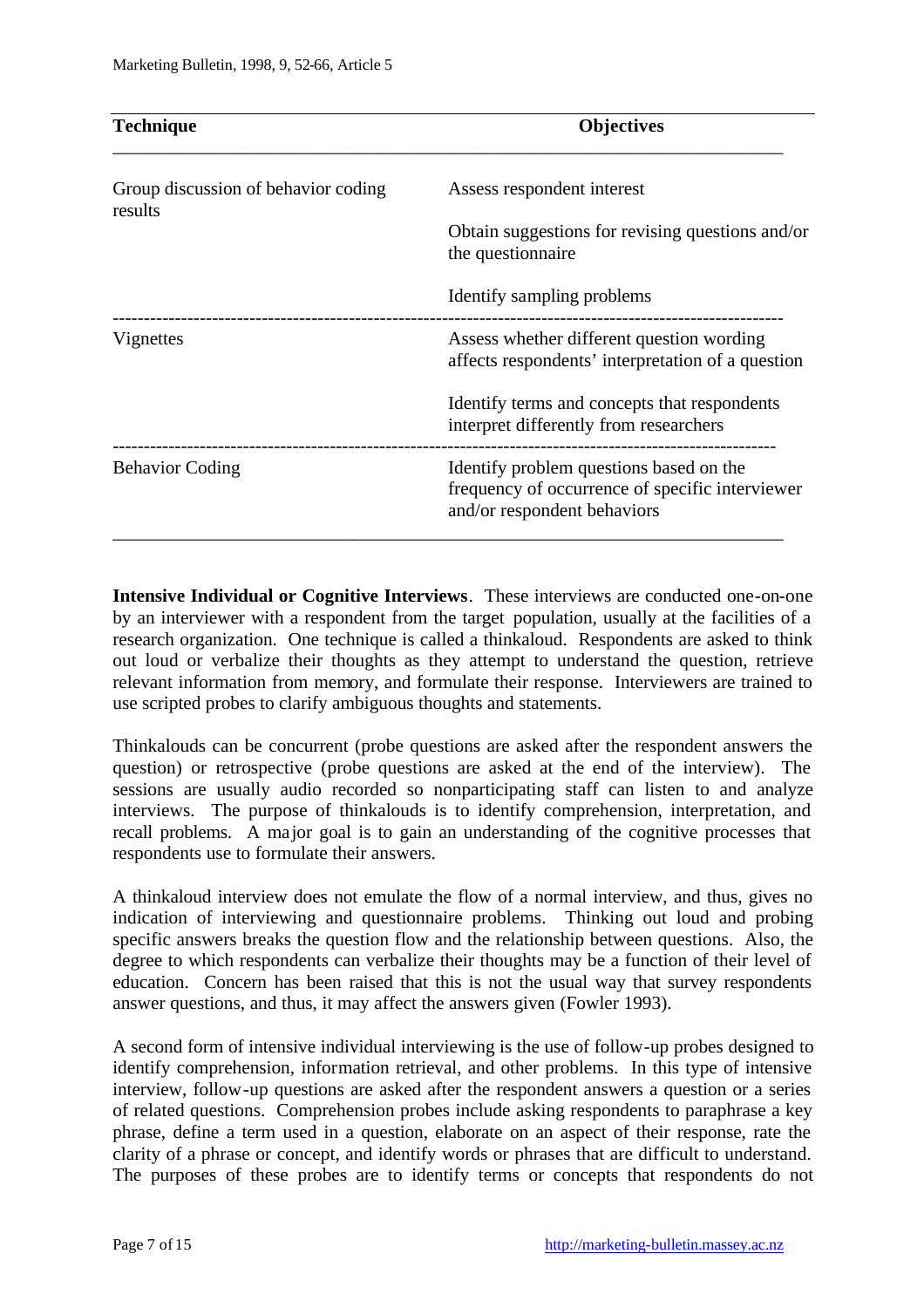| <b>Technique</b>                               | <b>Objectives</b>                                                                                                         |
|------------------------------------------------|---------------------------------------------------------------------------------------------------------------------------|
| Group discussion of behavior coding<br>results | Assess respondent interest                                                                                                |
|                                                | Obtain suggestions for revising questions and/or<br>the questionnaire                                                     |
|                                                | Identify sampling problems                                                                                                |
| Vignettes                                      | Assess whether different question wording<br>affects respondents' interpretation of a question                            |
|                                                | Identify terms and concepts that respondents<br>interpret differently from researchers                                    |
| <b>Behavior Coding</b>                         | Identify problem questions based on the<br>frequency of occurrence of specific interviewer<br>and/or respondent behaviors |

**Intensive Individual or Cognitive Interviews**. These interviews are conducted one-on-one by an interviewer with a respondent from the target population, usually at the facilities of a research organization. One technique is called a thinkaloud. Respondents are asked to think out loud or verbalize their thoughts as they attempt to understand the question, retrieve relevant information from memory, and formulate their response. Interviewers are trained to use scripted probes to clarify ambiguous thoughts and statements.

Thinkalouds can be concurrent (probe questions are asked after the respondent answers the question) or retrospective (probe questions are asked at the end of the interview). The sessions are usually audio recorded so nonparticipating staff can listen to and analyze interviews. The purpose of thinkalouds is to identify comprehension, interpretation, and recall problems. A major goal is to gain an understanding of the cognitive processes that respondents use to formulate their answers.

A thinkaloud interview does not emulate the flow of a normal interview, and thus, gives no indication of interviewing and questionnaire problems. Thinking out loud and probing specific answers breaks the question flow and the relationship between questions. Also, the degree to which respondents can verbalize their thoughts may be a function of their level of education. Concern has been raised that this is not the usual way that survey respondents answer questions, and thus, it may affect the answers given (Fowler 1993).

A second form of intensive individual interviewing is the use of follow-up probes designed to identify comprehension, information retrieval, and other problems. In this type of intensive interview, follow-up questions are asked after the respondent answers a question or a series of related questions. Comprehension probes include asking respondents to paraphrase a key phrase, define a term used in a question, elaborate on an aspect of their response, rate the clarity of a phrase or concept, and identify words or phrases that are difficult to understand. The purposes of these probes are to identify terms or concepts that respondents do not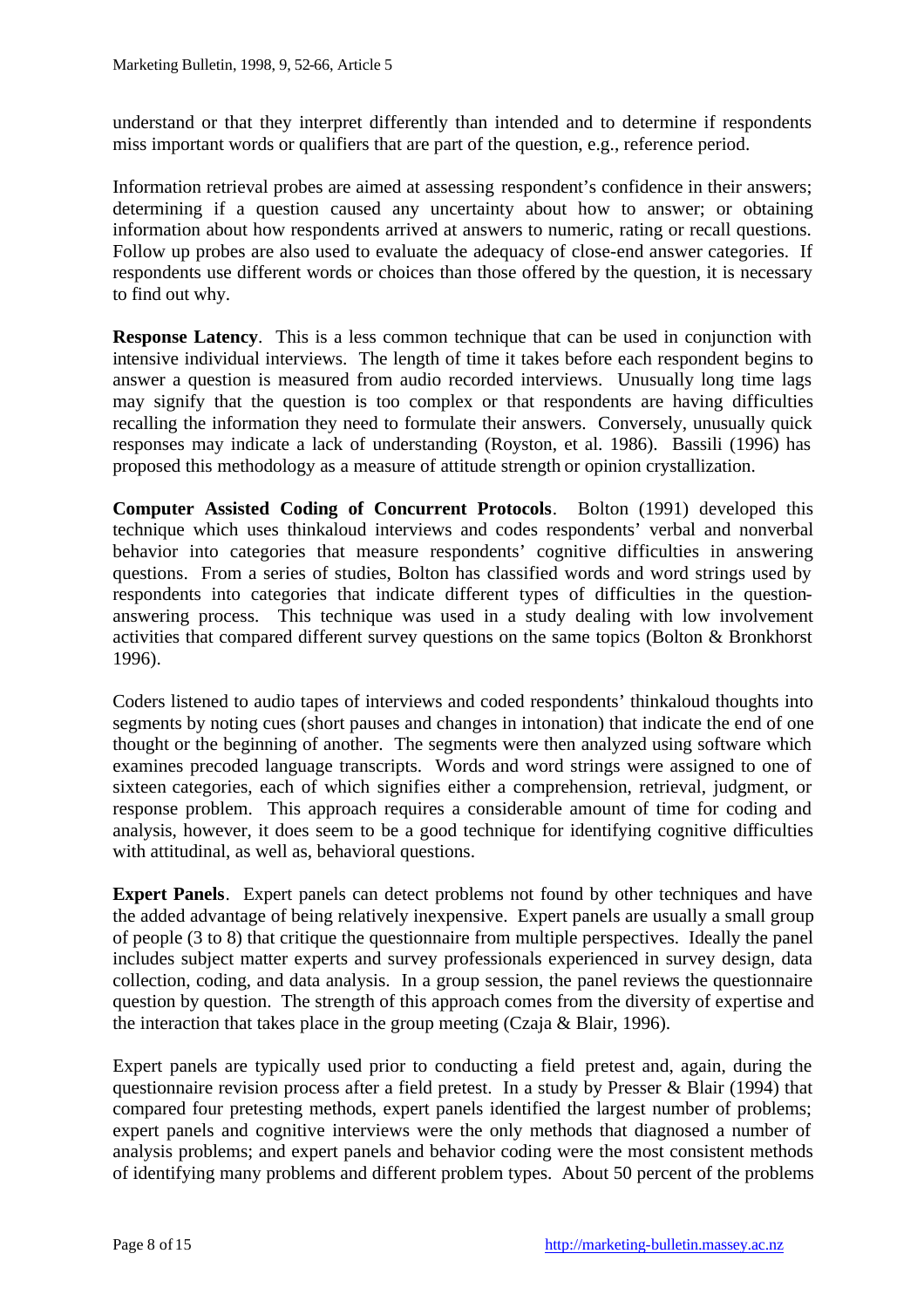understand or that they interpret differently than intended and to determine if respondents miss important words or qualifiers that are part of the question, e.g., reference period.

Information retrieval probes are aimed at assessing respondent's confidence in their answers; determining if a question caused any uncertainty about how to answer; or obtaining information about how respondents arrived at answers to numeric, rating or recall questions. Follow up probes are also used to evaluate the adequacy of close-end answer categories. If respondents use different words or choices than those offered by the question, it is necessary to find out why.

**Response Latency**. This is a less common technique that can be used in conjunction with intensive individual interviews. The length of time it takes before each respondent begins to answer a question is measured from audio recorded interviews. Unusually long time lags may signify that the question is too complex or that respondents are having difficulties recalling the information they need to formulate their answers. Conversely, unusually quick responses may indicate a lack of understanding (Royston, et al. 1986). Bassili (1996) has proposed this methodology as a measure of attitude strength or opinion crystallization.

**Computer Assisted Coding of Concurrent Protocols**. Bolton (1991) developed this technique which uses thinkaloud interviews and codes respondents' verbal and nonverbal behavior into categories that measure respondents' cognitive difficulties in answering questions. From a series of studies, Bolton has classified words and word strings used by respondents into categories that indicate different types of difficulties in the questionanswering process. This technique was used in a study dealing with low involvement activities that compared different survey questions on the same topics (Bolton & Bronkhorst 1996).

Coders listened to audio tapes of interviews and coded respondents' thinkaloud thoughts into segments by noting cues (short pauses and changes in intonation) that indicate the end of one thought or the beginning of another. The segments were then analyzed using software which examines precoded language transcripts. Words and word strings were assigned to one of sixteen categories, each of which signifies either a comprehension, retrieval, judgment, or response problem. This approach requires a considerable amount of time for coding and analysis, however, it does seem to be a good technique for identifying cognitive difficulties with attitudinal, as well as, behavioral questions.

**Expert Panels**. Expert panels can detect problems not found by other techniques and have the added advantage of being relatively inexpensive. Expert panels are usually a small group of people (3 to 8) that critique the questionnaire from multiple perspectives. Ideally the panel includes subject matter experts and survey professionals experienced in survey design, data collection, coding, and data analysis. In a group session, the panel reviews the questionnaire question by question. The strength of this approach comes from the diversity of expertise and the interaction that takes place in the group meeting (Czaja & Blair, 1996).

Expert panels are typically used prior to conducting a field pretest and, again, during the questionnaire revision process after a field pretest. In a study by Presser & Blair (1994) that compared four pretesting methods, expert panels identified the largest number of problems; expert panels and cognitive interviews were the only methods that diagnosed a number of analysis problems; and expert panels and behavior coding were the most consistent methods of identifying many problems and different problem types. About 50 percent of the problems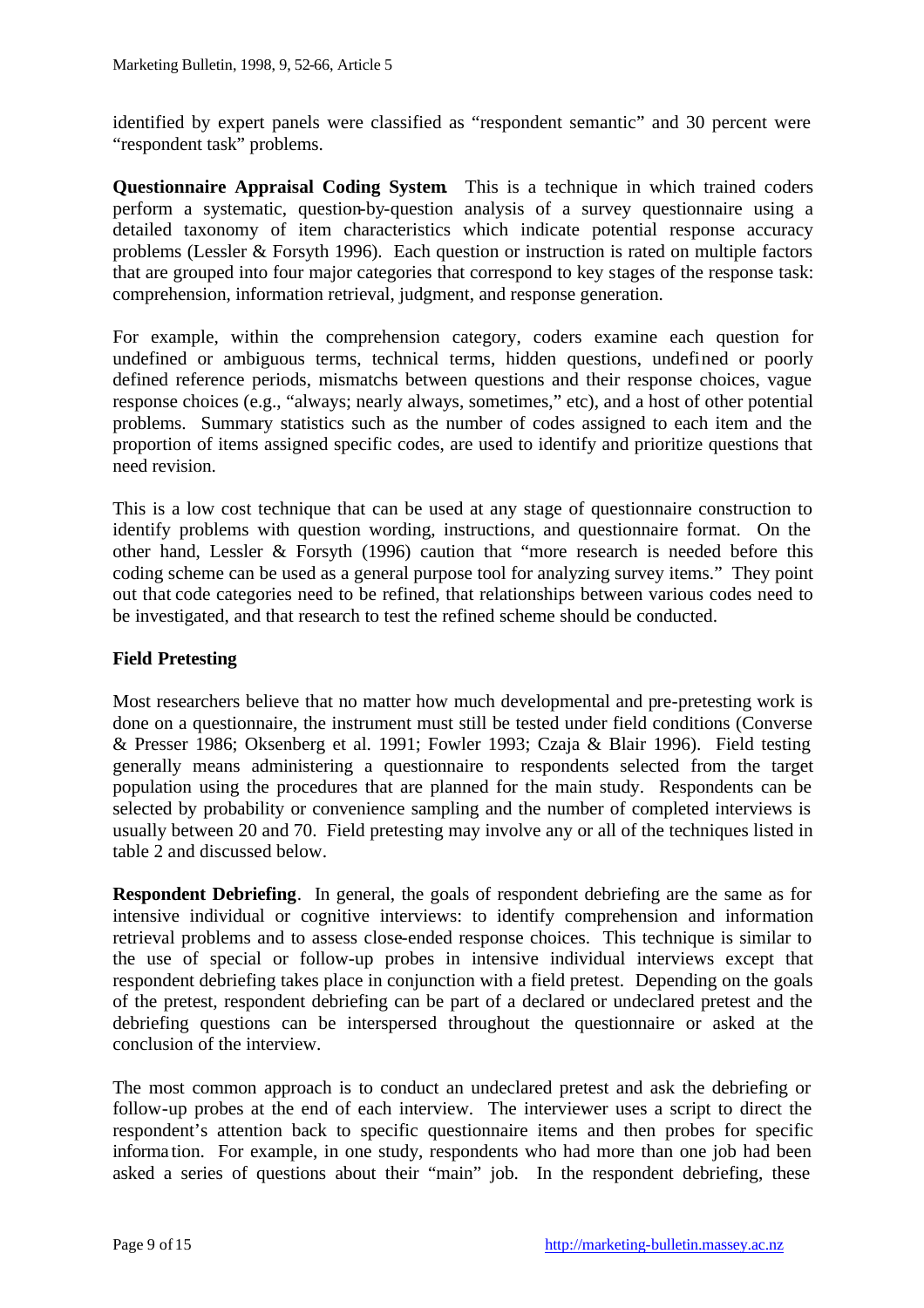identified by expert panels were classified as "respondent semantic" and 30 percent were "respondent task" problems.

**Questionnaire Appraisal Coding System**. This is a technique in which trained coders perform a systematic, question-by-question analysis of a survey questionnaire using a detailed taxonomy of item characteristics which indicate potential response accuracy problems (Lessler & Forsyth 1996). Each question or instruction is rated on multiple factors that are grouped into four major categories that correspond to key stages of the response task: comprehension, information retrieval, judgment, and response generation.

For example, within the comprehension category, coders examine each question for undefined or ambiguous terms, technical terms, hidden questions, undefined or poorly defined reference periods, mismatchs between questions and their response choices, vague response choices (e.g., "always; nearly always, sometimes," etc), and a host of other potential problems. Summary statistics such as the number of codes assigned to each item and the proportion of items assigned specific codes, are used to identify and prioritize questions that need revision.

This is a low cost technique that can be used at any stage of questionnaire construction to identify problems with question wording, instructions, and questionnaire format. On the other hand, Lessler & Forsyth (1996) caution that "more research is needed before this coding scheme can be used as a general purpose tool for analyzing survey items." They point out that code categories need to be refined, that relationships between various codes need to be investigated, and that research to test the refined scheme should be conducted.

### **Field Pretesting**

Most researchers believe that no matter how much developmental and pre-pretesting work is done on a questionnaire, the instrument must still be tested under field conditions (Converse & Presser 1986; Oksenberg et al. 1991; Fowler 1993; Czaja & Blair 1996). Field testing generally means administering a questionnaire to respondents selected from the target population using the procedures that are planned for the main study. Respondents can be selected by probability or convenience sampling and the number of completed interviews is usually between 20 and 70. Field pretesting may involve any or all of the techniques listed in table 2 and discussed below.

**Respondent Debriefing.** In general, the goals of respondent debriefing are the same as for intensive individual or cognitive interviews: to identify comprehension and information retrieval problems and to assess close-ended response choices. This technique is similar to the use of special or follow-up probes in intensive individual interviews except that respondent debriefing takes place in conjunction with a field pretest. Depending on the goals of the pretest, respondent debriefing can be part of a declared or undeclared pretest and the debriefing questions can be interspersed throughout the questionnaire or asked at the conclusion of the interview.

The most common approach is to conduct an undeclared pretest and ask the debriefing or follow-up probes at the end of each interview. The interviewer uses a script to direct the respondent's attention back to specific questionnaire items and then probes for specific informa tion. For example, in one study, respondents who had more than one job had been asked a series of questions about their "main" job. In the respondent debriefing, these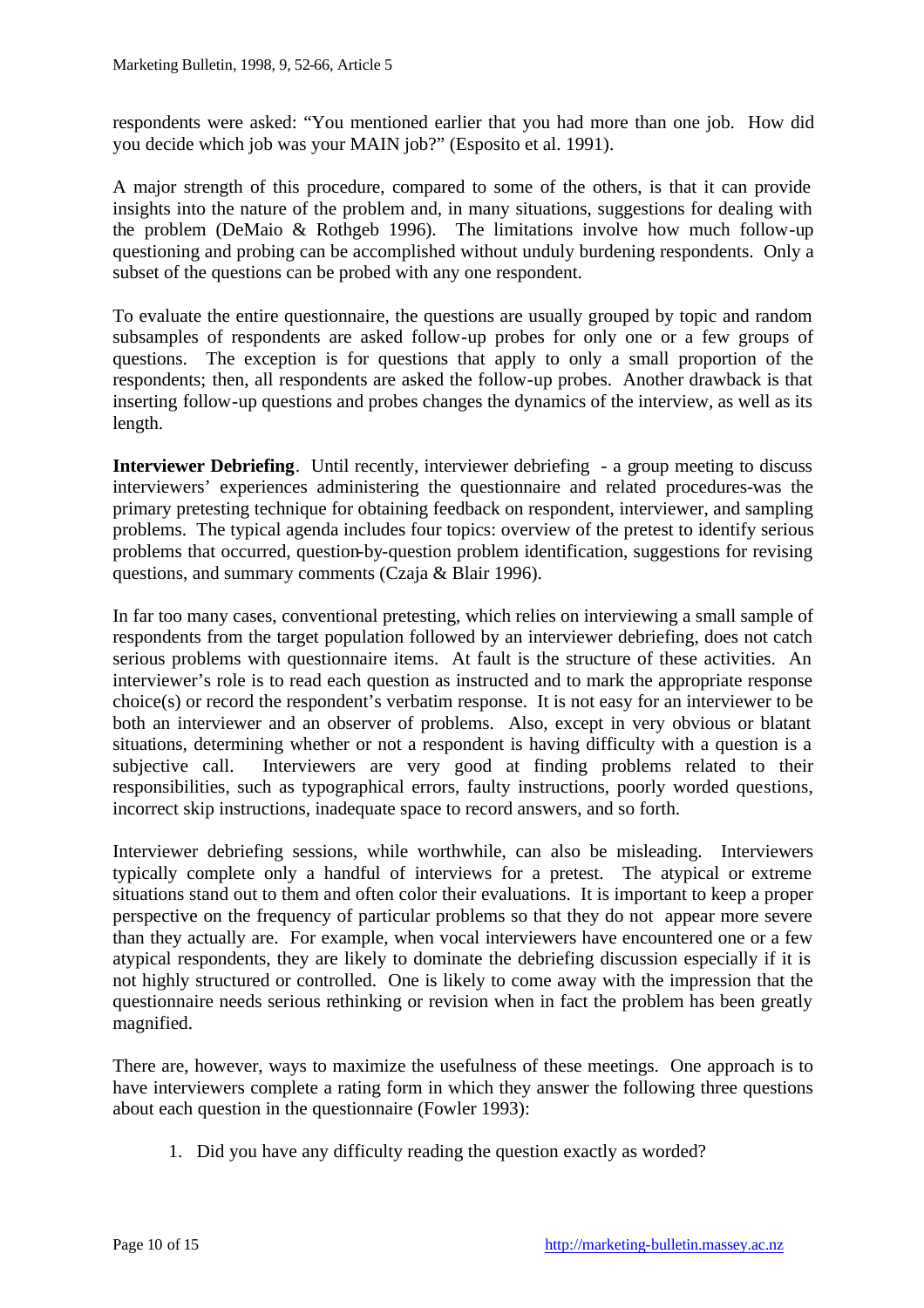respondents were asked: "You mentioned earlier that you had more than one job. How did you decide which job was your MAIN job?" (Esposito et al. 1991).

A major strength of this procedure, compared to some of the others, is that it can provide insights into the nature of the problem and, in many situations, suggestions for dealing with the problem (DeMaio & Rothgeb 1996). The limitations involve how much follow-up questioning and probing can be accomplished without unduly burdening respondents. Only a subset of the questions can be probed with any one respondent.

To evaluate the entire questionnaire, the questions are usually grouped by topic and random subsamples of respondents are asked follow-up probes for only one or a few groups of questions. The exception is for questions that apply to only a small proportion of the respondents; then, all respondents are asked the follow-up probes. Another drawback is that inserting follow-up questions and probes changes the dynamics of the interview, as well as its length.

**Interviewer Debriefing.** Until recently, interviewer debriefing - a group meeting to discuss interviewers' experiences administering the questionnaire and related procedures-was the primary pretesting technique for obtaining feedback on respondent, interviewer, and sampling problems. The typical agenda includes four topics: overview of the pretest to identify serious problems that occurred, question-by-question problem identification, suggestions for revising questions, and summary comments (Czaja & Blair 1996).

In far too many cases, conventional pretesting, which relies on interviewing a small sample of respondents from the target population followed by an interviewer debriefing, does not catch serious problems with questionnaire items. At fault is the structure of these activities. An interviewer's role is to read each question as instructed and to mark the appropriate response choice(s) or record the respondent's verbatim response. It is not easy for an interviewer to be both an interviewer and an observer of problems. Also, except in very obvious or blatant situations, determining whether or not a respondent is having difficulty with a question is a subjective call. Interviewers are very good at finding problems related to their responsibilities, such as typographical errors, faulty instructions, poorly worded questions, incorrect skip instructions, inadequate space to record answers, and so forth.

Interviewer debriefing sessions, while worthwhile, can also be misleading. Interviewers typically complete only a handful of interviews for a pretest. The atypical or extreme situations stand out to them and often color their evaluations. It is important to keep a proper perspective on the frequency of particular problems so that they do not appear more severe than they actually are. For example, when vocal interviewers have encountered one or a few atypical respondents, they are likely to dominate the debriefing discussion especially if it is not highly structured or controlled. One is likely to come away with the impression that the questionnaire needs serious rethinking or revision when in fact the problem has been greatly magnified.

There are, however, ways to maximize the usefulness of these meetings. One approach is to have interviewers complete a rating form in which they answer the following three questions about each question in the questionnaire (Fowler 1993):

1. Did you have any difficulty reading the question exactly as worded?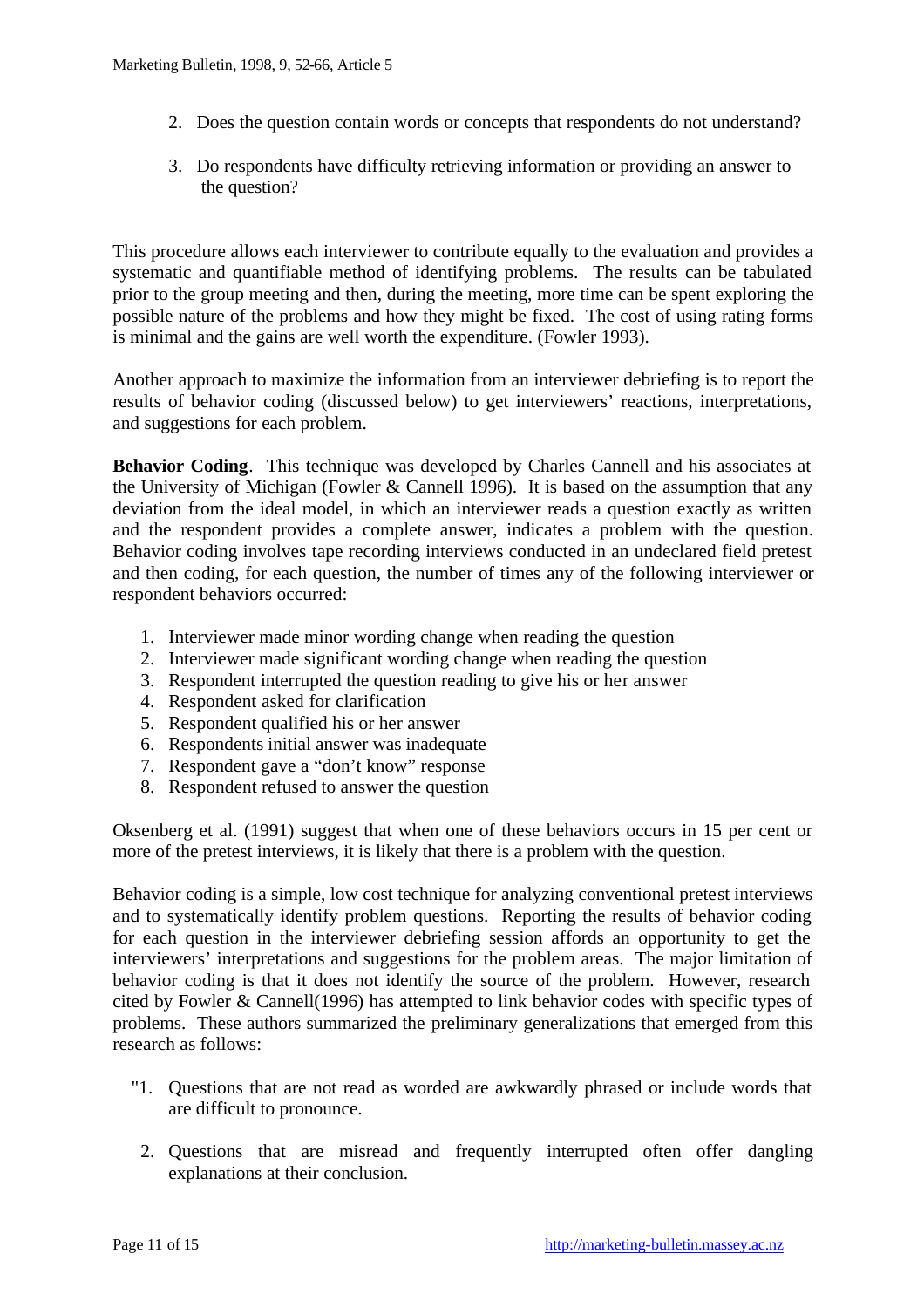- 2. Does the question contain words or concepts that respondents do not understand?
- 3. Do respondents have difficulty retrieving information or providing an answer to the question?

This procedure allows each interviewer to contribute equally to the evaluation and provides a systematic and quantifiable method of identifying problems. The results can be tabulated prior to the group meeting and then, during the meeting, more time can be spent exploring the possible nature of the problems and how they might be fixed. The cost of using rating forms is minimal and the gains are well worth the expenditure. (Fowler 1993).

Another approach to maximize the information from an interviewer debriefing is to report the results of behavior coding (discussed below) to get interviewers' reactions, interpretations, and suggestions for each problem.

**Behavior Coding**. This technique was developed by Charles Cannell and his associates at the University of Michigan (Fowler & Cannell 1996). It is based on the assumption that any deviation from the ideal model, in which an interviewer reads a question exactly as written and the respondent provides a complete answer, indicates a problem with the question. Behavior coding involves tape recording interviews conducted in an undeclared field pretest and then coding, for each question, the number of times any of the following interviewer or respondent behaviors occurred:

- 1. Interviewer made minor wording change when reading the question
- 2. Interviewer made significant wording change when reading the question
- 3. Respondent interrupted the question reading to give his or her answer
- 4. Respondent asked for clarification
- 5. Respondent qualified his or her answer
- 6. Respondents initial answer was inadequate
- 7. Respondent gave a "don't know" response
- 8. Respondent refused to answer the question

Oksenberg et al. (1991) suggest that when one of these behaviors occurs in 15 per cent or more of the pretest interviews, it is likely that there is a problem with the question.

Behavior coding is a simple, low cost technique for analyzing conventional pretest interviews and to systematically identify problem questions. Reporting the results of behavior coding for each question in the interviewer debriefing session affords an opportunity to get the interviewers' interpretations and suggestions for the problem areas. The major limitation of behavior coding is that it does not identify the source of the problem. However, research cited by Fowler & Cannell(1996) has attempted to link behavior codes with specific types of problems. These authors summarized the preliminary generalizations that emerged from this research as follows:

- "1. Questions that are not read as worded are awkwardly phrased or include words that are difficult to pronounce.
- 2. Questions that are misread and frequently interrupted often offer dangling explanations at their conclusion.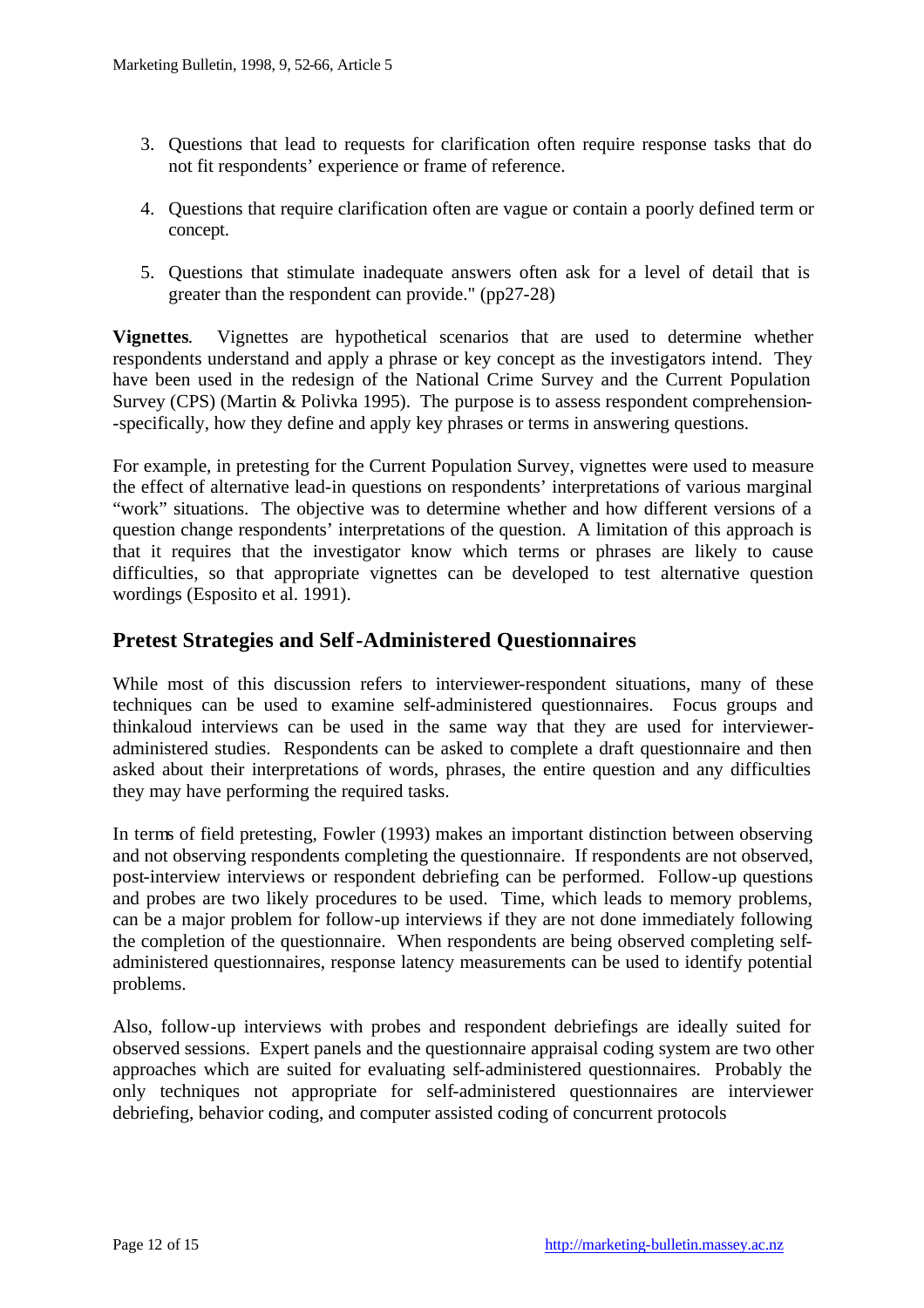- 3. Questions that lead to requests for clarification often require response tasks that do not fit respondents' experience or frame of reference.
- 4. Questions that require clarification often are vague or contain a poorly defined term or concept.
- 5. Questions that stimulate inadequate answers often ask for a level of detail that is greater than the respondent can provide." (pp27-28)

**Vignettes**. Vignettes are hypothetical scenarios that are used to determine whether respondents understand and apply a phrase or key concept as the investigators intend. They have been used in the redesign of the National Crime Survey and the Current Population Survey (CPS) (Martin & Polivka 1995). The purpose is to assess respondent comprehension- -specifically, how they define and apply key phrases or terms in answering questions.

For example, in pretesting for the Current Population Survey, vignettes were used to measure the effect of alternative lead-in questions on respondents' interpretations of various marginal "work" situations. The objective was to determine whether and how different versions of a question change respondents' interpretations of the question. A limitation of this approach is that it requires that the investigator know which terms or phrases are likely to cause difficulties, so that appropriate vignettes can be developed to test alternative question wordings (Esposito et al. 1991).

### **Pretest Strategies and Self-Administered Questionnaires**

While most of this discussion refers to interviewer-respondent situations, many of these techniques can be used to examine self-administered questionnaires. Focus groups and thinkaloud interviews can be used in the same way that they are used for intervieweradministered studies. Respondents can be asked to complete a draft questionnaire and then asked about their interpretations of words, phrases, the entire question and any difficulties they may have performing the required tasks.

In terms of field pretesting, Fowler (1993) makes an important distinction between observing and not observing respondents completing the questionnaire. If respondents are not observed, post-interview interviews or respondent debriefing can be performed. Follow-up questions and probes are two likely procedures to be used. Time, which leads to memory problems, can be a major problem for follow-up interviews if they are not done immediately following the completion of the questionnaire. When respondents are being observed completing selfadministered questionnaires, response latency measurements can be used to identify potential problems.

Also, follow-up interviews with probes and respondent debriefings are ideally suited for observed sessions. Expert panels and the questionnaire appraisal coding system are two other approaches which are suited for evaluating self-administered questionnaires. Probably the only techniques not appropriate for self-administered questionnaires are interviewer debriefing, behavior coding, and computer assisted coding of concurrent protocols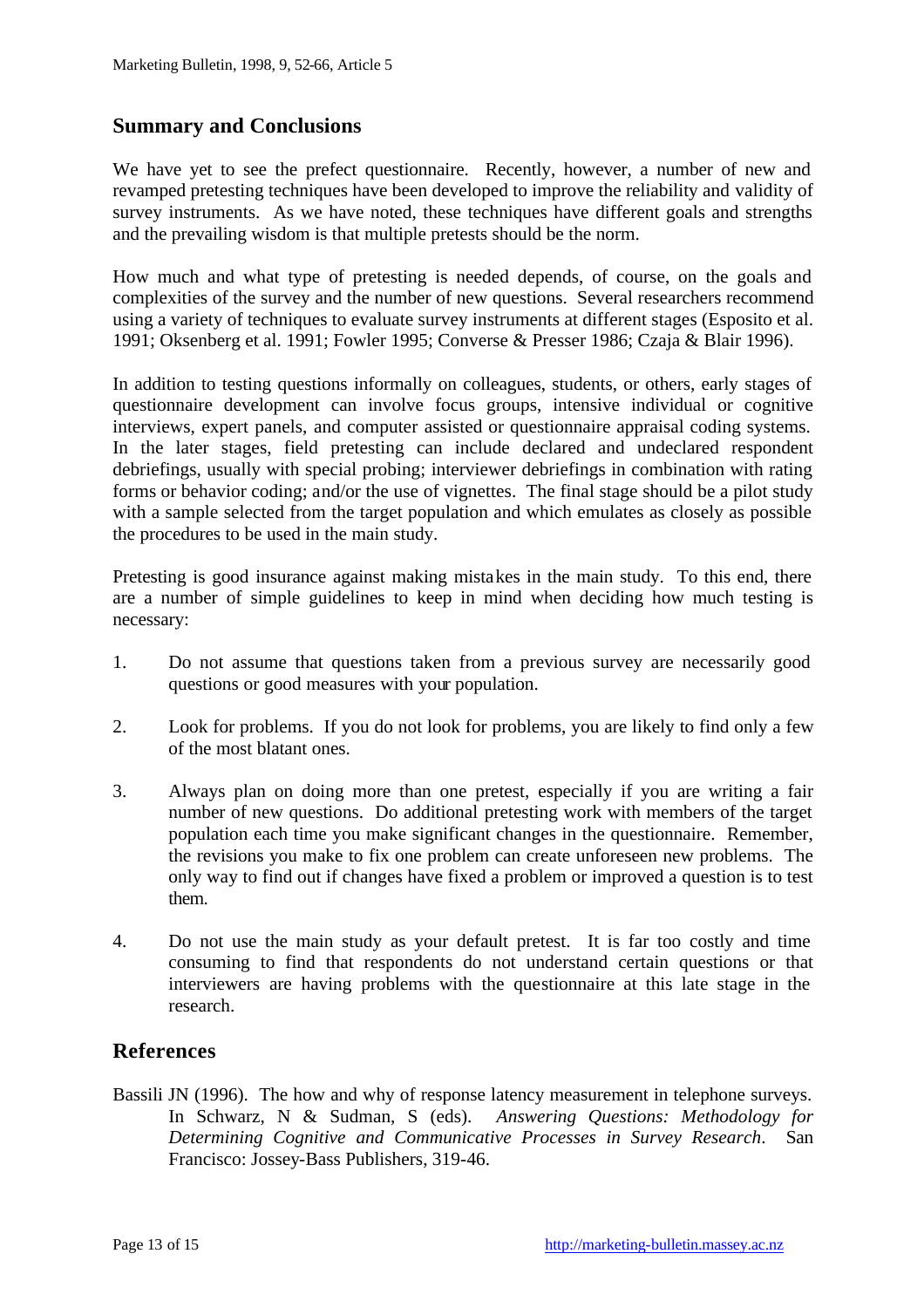# **Summary and Conclusions**

We have yet to see the prefect questionnaire. Recently, however, a number of new and revamped pretesting techniques have been developed to improve the reliability and validity of survey instruments. As we have noted, these techniques have different goals and strengths and the prevailing wisdom is that multiple pretests should be the norm.

How much and what type of pretesting is needed depends, of course, on the goals and complexities of the survey and the number of new questions. Several researchers recommend using a variety of techniques to evaluate survey instruments at different stages (Esposito et al. 1991; Oksenberg et al. 1991; Fowler 1995; Converse & Presser 1986; Czaja & Blair 1996).

In addition to testing questions informally on colleagues, students, or others, early stages of questionnaire development can involve focus groups, intensive individual or cognitive interviews, expert panels, and computer assisted or questionnaire appraisal coding systems. In the later stages, field pretesting can include declared and undeclared respondent debriefings, usually with special probing; interviewer debriefings in combination with rating forms or behavior coding; and/or the use of vignettes. The final stage should be a pilot study with a sample selected from the target population and which emulates as closely as possible the procedures to be used in the main study.

Pretesting is good insurance against making mistakes in the main study. To this end, there are a number of simple guidelines to keep in mind when deciding how much testing is necessary:

- 1. Do not assume that questions taken from a previous survey are necessarily good questions or good measures with your population.
- 2. Look for problems. If you do not look for problems, you are likely to find only a few of the most blatant ones.
- 3. Always plan on doing more than one pretest, especially if you are writing a fair number of new questions. Do additional pretesting work with members of the target population each time you make significant changes in the questionnaire. Remember, the revisions you make to fix one problem can create unforeseen new problems. The only way to find out if changes have fixed a problem or improved a question is to test them.
- 4. Do not use the main study as your default pretest. It is far too costly and time consuming to find that respondents do not understand certain questions or that interviewers are having problems with the questionnaire at this late stage in the research.

### **References**

Bassili JN (1996). The how and why of response latency measurement in telephone surveys. In Schwarz, N & Sudman, S (eds). *Answering Questions: Methodology for Determining Cognitive and Communicative Processes in Survey Research*. San Francisco: Jossey-Bass Publishers, 319-46.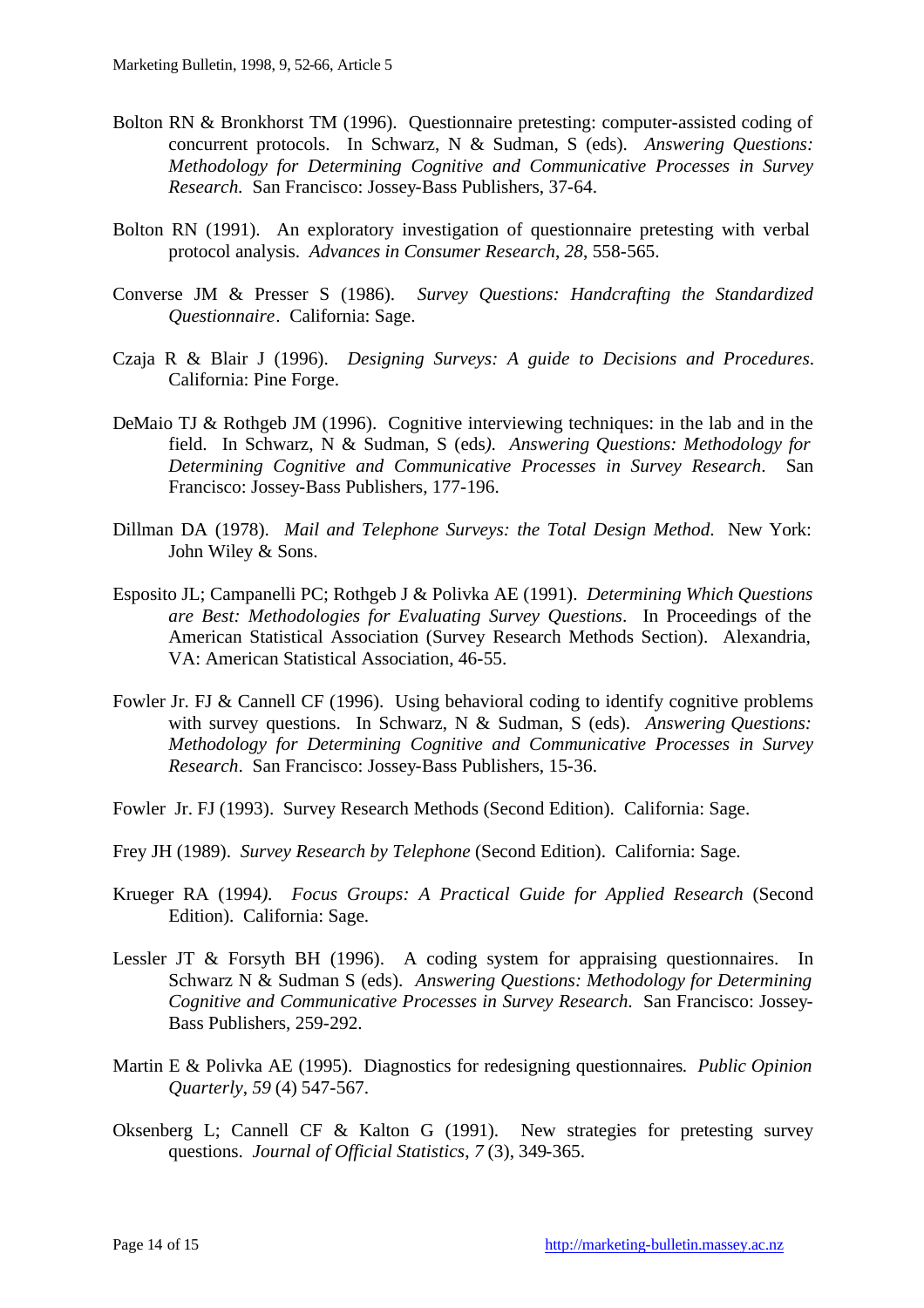- Bolton RN & Bronkhorst TM (1996). Questionnaire pretesting: computer-assisted coding of concurrent protocols. In Schwarz, N & Sudman, S (eds). *Answering Questions: Methodology for Determining Cognitive and Communicative Processes in Survey Research.* San Francisco: Jossey-Bass Publishers, 37-64.
- Bolton RN (1991). An exploratory investigation of questionnaire pretesting with verbal protocol analysis. *Advances in Consumer Research*, *28*, 558-565.
- Converse JM & Presser S (1986). *Survey Questions: Handcrafting the Standardized Questionnaire*. California: Sage.
- Czaja R & Blair J (1996). *Designing Surveys: A guide to Decisions and Procedures*. California: Pine Forge.
- DeMaio TJ & Rothgeb JM (1996). Cognitive interviewing techniques: in the lab and in the field. In Schwarz, N & Sudman, S (eds*). Answering Questions: Methodology for Determining Cognitive and Communicative Processes in Survey Research*. San Francisco: Jossey-Bass Publishers, 177-196.
- Dillman DA (1978). *Mail and Telephone Surveys: the Total Design Method*. New York: John Wiley & Sons.
- Esposito JL; Campanelli PC; Rothgeb J & Polivka AE (1991). *Determining Which Questions are Best: Methodologies for Evaluating Survey Questions*. In Proceedings of the American Statistical Association (Survey Research Methods Section). Alexandria, VA: American Statistical Association, 46-55.
- Fowler Jr. FJ & Cannell CF (1996). Using behavioral coding to identify cognitive problems with survey questions. In Schwarz, N & Sudman, S (eds). *Answering Questions: Methodology for Determining Cognitive and Communicative Processes in Survey Research*. San Francisco: Jossey-Bass Publishers, 15-36.
- Fowler Jr. FJ (1993). Survey Research Methods (Second Edition). California: Sage.
- Frey JH (1989). *Survey Research by Telephone* (Second Edition). California: Sage.
- Krueger RA (1994*). Focus Groups: A Practical Guide for Applied Research* (Second Edition). California: Sage.
- Lessler JT & Forsyth BH (1996). A coding system for appraising questionnaires. In Schwarz N & Sudman S (eds). *Answering Questions: Methodology for Determining Cognitive and Communicative Processes in Survey Research*. San Francisco: Jossey-Bass Publishers, 259-292.
- Martin E & Polivka AE (1995). Diagnostics for redesigning questionnaires*. Public Opinion Quarterly*, *59* (4) 547-567.
- Oksenberg L; Cannell CF & Kalton G (1991). New strategies for pretesting survey questions. *Journal of Official Statistics*, *7* (3), 349-365.